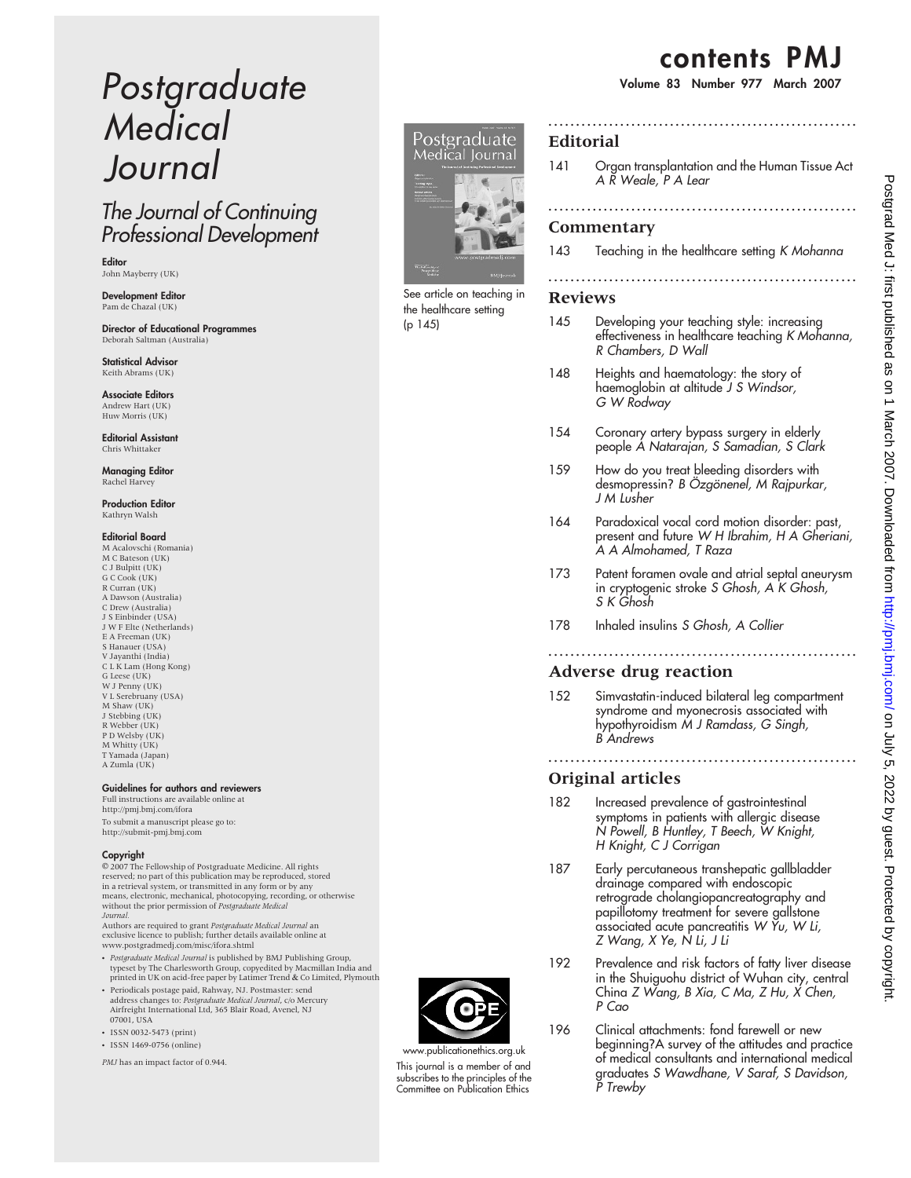# contents PMJ

Volume 83 Number 977 March 2007

# Postgraduate Medical Journal

## The Journal of Continuing Professional Development

Editor John Mayberry (UK)

Development Editor Pam de Chazal (UK)

Director of Educational Programmes Deborah Saltman (Australia)

Statistical Advisor Keith Abrams (UK)

Associate Editors Andrew Hart (UK) Huw Morris (UK)

Editorial Assistant Chris Whittaker

Managing Editor Rachel Harvey

Production Editor Kathryn Walsh

#### Editorial Board

M Acalovschi (Romania) M C Bateson (UK) C J Bulpitt (UK) G C Cook (UK) R Curran (UK) A Dawson (Australia) C Drew (Australia) J S Einbinder (USA) J W F Elte (Netherlands) E A Freeman (UK) S Hanauer (USA) V Jayanthi (India) C L K Lam (Hong Kong) G Leese (UK) W J Penny (UK) V L Serebruany (USA) M Shaw (UK) J Stebbing (UK) R Webber (UK) P D Welsby (UK) M Whitty (UK) T Yamada (Japan) A Zumla (UK)

#### Guidelines for authors and reviewers

Full instructions are available online at http://pmj.bmj.com/ifora To submit a manuscript please go to: http://submit-pmj.bmj.com

#### Copyright

E 2007 The Fellowship of Postgraduate Medicine. All rights reserved; no part of this publication may be reproduced, stored in a retrieval system, or transmitted in any form or by any means, electronic, mechanical, photocopying, recording, or otherwise<br>without the prior permission of Postgraduate Medical Journal.

Authors are required to grant *Postgraduate Medical Journal* an<br>exclusive licence to publish; further details available online at www.postgradmedj.com/misc/ifora.shtml

- *Postgraduate Medical Journal* is published by BMJ Publishing Group,<br>typeset by The Charlesworth Group, copyedited by Macmillan India and<br>printed in UK on acid-free paper by Latimer Trend & Co Limited, Plymouth
- Periodicals postage paid, Rahway, NJ. Postmaster: send address changes to: *Postgraduate Medical Journal, c*/o Mercury<br>Airfreight International Ltd, 365 Blair Road, Avenel, NJ 07001, USA
- ISSN 0032-5473 (print)
- ISSN 1469-0756 (online)

PMJ has an impact factor of 0.944.



See article on teaching in the healthcare setting (p 145)

#### Editorial

141 Organ transplantation and the Human Tissue Act A R Weale, P A Lear

........................................................

........................................................

#### Commentary

143 Teaching in the healthcare setting K Mohanna ........................................................

#### Reviews

- 145 Developing your teaching style: increasing effectiveness in healthcare teaching K Mohanna, R Chambers, D Wall
- 148 Heights and haematology: the story of haemoglobin at altitude J S Windsor, G W Rodway
- 154 Coronary artery bypass surgery in elderly people A Natarajan, S Samadian, S Clark
- 159 How do you treat bleeding disorders with desmopressin? B Özgönenel, M Rajpurkar, J M Lusher
- 164 Paradoxical vocal cord motion disorder: past, present and future W H Ibrahim, H A Gheriani, A A Almohamed, T Raza
- 173 Patent foramen ovale and atrial septal aneurysm in cryptogenic stroke S Ghosh, A K Ghosh, S K Ghosh
- 178 Inhaled insulins S Ghosh, A Collier

#### ........................................................ Adverse drug reaction

152 Simvastatin-induced bilateral leg compartment syndrome and myonecrosis associated with hypothyroidism M J Ramdass, G Singh, B Andrews

#### ........................................................ Original articles

- 182 Increased prevalence of gastrointestinal symptoms in patients with allergic disease N Powell, B Huntley, T Beech, W Knight, H Knight, C J Corrigan
- 187 Early percutaneous transhepatic gallbladder drainage compared with endoscopic retrograde cholangiopancreatography and papillotomy treatment for severe gallstone associated acute pancreatitis W Yu, W Li, Z Wang, X Ye, N Li, J Li
- 192 Prevalence and risk factors of fatty liver disease in the Shuiguohu district of Wuhan city, central China Z Wang, B Xia, C Ma, Z Hu, X Chen, P Cao
- 196 Clinical attachments: fond farewell or new beginning?A survey of the attitudes and practice of medical consultants and international medical graduates S Wawdhane, V Saraf, S Davidson, P Trewby



This journal is a member of and subscribes to the principles of the Committee on Publication Ethics